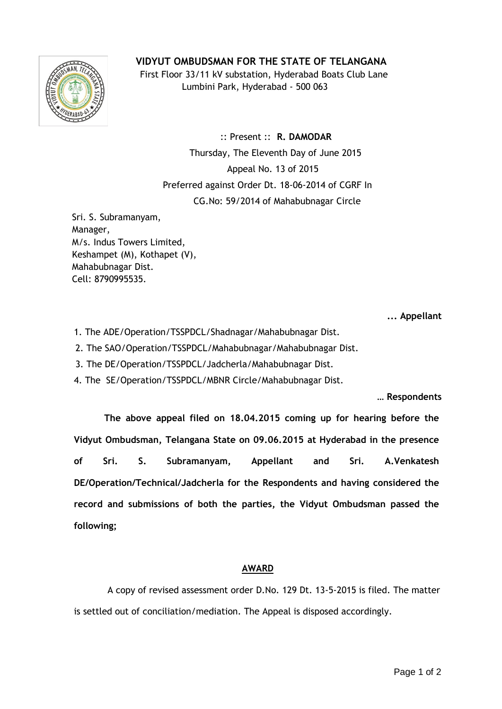## **VIDYUT OMBUDSMAN FOR THE STATE OF TELANGANA**



 First Floor 33/11 kV substation, Hyderabad Boats Club Lane Lumbini Park, Hyderabad - 500 063

 :: Present :: **R. DAMODAR** Thursday, The Eleventh Day of June 2015 Appeal No. 13 of 2015 Preferred against Order Dt. 18-06-2014 of CGRF In CG.No: 59/2014 of Mahabubnagar Circle

Sri. S. Subramanyam, Manager, M/s. Indus Towers Limited, Keshampet (M), Kothapet (V), Mahabubnagar Dist. Cell: 8790995535.

**... Appellant**

1. The ADE/Operation/TSSPDCL/Shadnagar/Mahabubnagar Dist.

2. The SAO/Operation/TSSPDCL/Mahabubnagar/Mahabubnagar Dist.

3. 3. The DE/Operation/TSSPDCL/Jadcherla/Mahabubnagar Dist.

4. The SE/Operation/TSSPDCL/MBNR Circle/Mahabubnagar Dist.

**… Respondents**

**The above appeal filed on 18.04.2015 coming up for hearing before the Vidyut Ombudsman, Telangana State on 09.06.2015 at Hyderabad in the presence of Sri. S. Subramanyam, Appellant and Sri. A.Venkatesh DE/Operation/Technical/Jadcherla for the Respondents and having considered the record and submissions of both the parties, the Vidyut Ombudsman passed the following;**

## **AWARD**

 A copy of revised assessment order D.No. 129 Dt. 13-5-2015 is filed. The matter is settled out of conciliation/mediation. The Appeal is disposed accordingly.